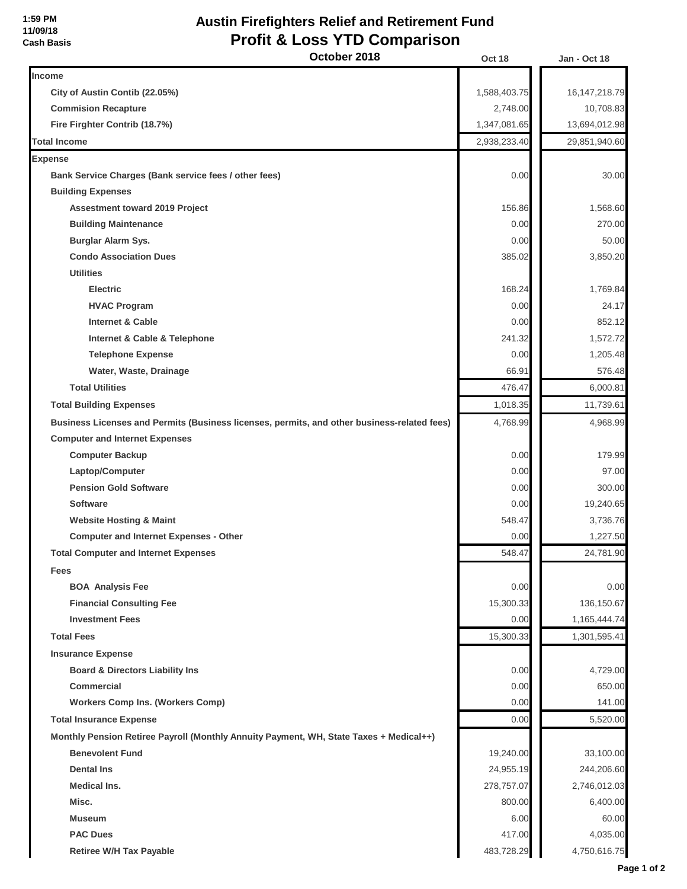## **Austin Firefighters Relief and Retirement Fund Profit & Loss YTD Comparison**

| October 2018                                                                                | Oct 18       | Jan - Oct 18     |
|---------------------------------------------------------------------------------------------|--------------|------------------|
| Income                                                                                      |              |                  |
| City of Austin Contib (22.05%)                                                              | 1,588,403.75 | 16, 147, 218. 79 |
| <b>Commision Recapture</b>                                                                  | 2,748.00     | 10,708.83        |
| Fire Firghter Contrib (18.7%)                                                               | 1,347,081.65 | 13,694,012.98    |
| <b>Total Income</b>                                                                         | 2,938,233.40 | 29,851,940.60    |
| <b>Expense</b>                                                                              |              |                  |
| Bank Service Charges (Bank service fees / other fees)                                       | 0.00         | 30.00            |
| <b>Building Expenses</b>                                                                    |              |                  |
| <b>Assestment toward 2019 Project</b>                                                       | 156.86       | 1,568.60         |
| <b>Building Maintenance</b>                                                                 | 0.00         | 270.00           |
| <b>Burglar Alarm Sys.</b>                                                                   | 0.00         | 50.00            |
| <b>Condo Association Dues</b>                                                               | 385.02       | 3,850.20         |
| <b>Utilities</b>                                                                            |              |                  |
| <b>Electric</b>                                                                             | 168.24       | 1,769.84         |
| <b>HVAC Program</b>                                                                         | 0.00         | 24.17            |
| Internet & Cable                                                                            | 0.00         | 852.12           |
| Internet & Cable & Telephone                                                                | 241.32       | 1,572.72         |
| <b>Telephone Expense</b>                                                                    | 0.00         | 1,205.48         |
| Water, Waste, Drainage                                                                      | 66.91        | 576.48           |
| <b>Total Utilities</b>                                                                      | 476.47       | 6,000.81         |
| <b>Total Building Expenses</b>                                                              | 1,018.35     | 11,739.61        |
| Business Licenses and Permits (Business licenses, permits, and other business-related fees) | 4,768.99     | 4,968.99         |
| <b>Computer and Internet Expenses</b>                                                       |              |                  |
| <b>Computer Backup</b>                                                                      | 0.00         | 179.99           |
| Laptop/Computer                                                                             | 0.00         | 97.00            |
| <b>Pension Gold Software</b>                                                                | 0.00         | 300.00           |
| <b>Software</b>                                                                             | 0.00         | 19,240.65        |
| <b>Website Hosting &amp; Maint</b>                                                          | 548.47       | 3,736.76         |
| <b>Computer and Internet Expenses - Other</b>                                               | 0.00         | 1,227.50         |
| <b>Total Computer and Internet Expenses</b>                                                 | 548.47       | 24,781.90        |
| Fees                                                                                        |              |                  |
| <b>BOA Analysis Fee</b>                                                                     | 0.00         | 0.00             |
| <b>Financial Consulting Fee</b>                                                             | 15,300.33    | 136,150.67       |
| <b>Investment Fees</b>                                                                      | 0.00         | 1,165,444.74     |
| <b>Total Fees</b>                                                                           | 15,300.33    | 1,301,595.41     |
| <b>Insurance Expense</b>                                                                    |              |                  |
| <b>Board &amp; Directors Liability Ins</b>                                                  | 0.00         | 4,729.00         |
| <b>Commercial</b>                                                                           | 0.00         | 650.00           |
| <b>Workers Comp Ins. (Workers Comp)</b>                                                     | 0.00         | 141.00           |
| <b>Total Insurance Expense</b>                                                              | 0.00         | 5,520.00         |
| Monthly Pension Retiree Payroll (Monthly Annuity Payment, WH, State Taxes + Medical++)      |              |                  |
| <b>Benevolent Fund</b>                                                                      | 19,240.00    | 33,100.00        |
| <b>Dental Ins</b>                                                                           | 24,955.19    | 244,206.60       |
| <b>Medical Ins.</b>                                                                         | 278,757.07   | 2,746,012.03     |
| Misc.                                                                                       | 800.00       | 6,400.00         |
| <b>Museum</b>                                                                               | 6.00         | 60.00            |
| <b>PAC Dues</b>                                                                             | 417.00       | 4,035.00         |
| <b>Retiree W/H Tax Payable</b>                                                              | 483,728.29   | 4,750,616.75     |